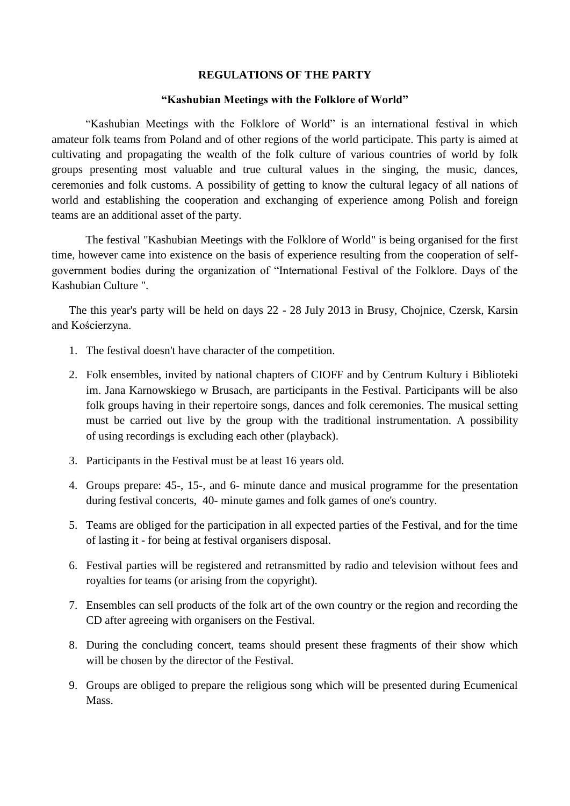#### **REGULATIONS OF THE PARTY**

#### **"Kashubian Meetings with the Folklore of World"**

"Kashubian Meetings with the Folklore of World" is an international festival in which amateur folk teams from Poland and of other regions of the world participate. This party is aimed at cultivating and propagating the wealth of the folk culture of various countries of world by folk groups presenting most valuable and true cultural values in the singing, the music, dances, ceremonies and folk customs. A possibility of getting to know the cultural legacy of all nations of world and establishing the cooperation and exchanging of experience among Polish and foreign teams are an additional asset of the party.

The festival "Kashubian Meetings with the Folklore of World" is being organised for the first time, however came into existence on the basis of experience resulting from the cooperation of selfgovernment bodies during the organization of "International Festival of the Folklore. Days of the Kashubian Culture ".

The this year's party will be held on days 22 - 28 July 2013 in Brusy, Chojnice, Czersk, Karsin and Kościerzyna.

- 1. The festival doesn't have character of the competition.
- 2. Folk ensembles, invited by national chapters of CIOFF and by Centrum Kultury i Biblioteki im. Jana Karnowskiego w Brusach, are participants in the Festival. Participants will be also folk groups having in their repertoire songs, dances and folk ceremonies. The musical setting must be carried out live by the group with the traditional instrumentation. A possibility of using recordings is excluding each other (playback).
- 3. Participants in the Festival must be at least 16 years old.
- 4. Groups prepare: 45-, 15-, and 6- minute dance and musical programme for the presentation during festival concerts, 40- minute games and folk games of one's country.
- 5. Teams are obliged for the participation in all expected parties of the Festival, and for the time of lasting it - for being at festival organisers disposal.
- 6. Festival parties will be registered and retransmitted by radio and television without fees and royalties for teams (or arising from the copyright).
- 7. Ensembles can sell products of the folk art of the own country or the region and recording the CD after agreeing with organisers on the Festival.
- 8. During the concluding concert, teams should present these fragments of their show which will be chosen by the director of the Festival.
- 9. Groups are obliged to prepare the religious song which will be presented during Ecumenical Mass.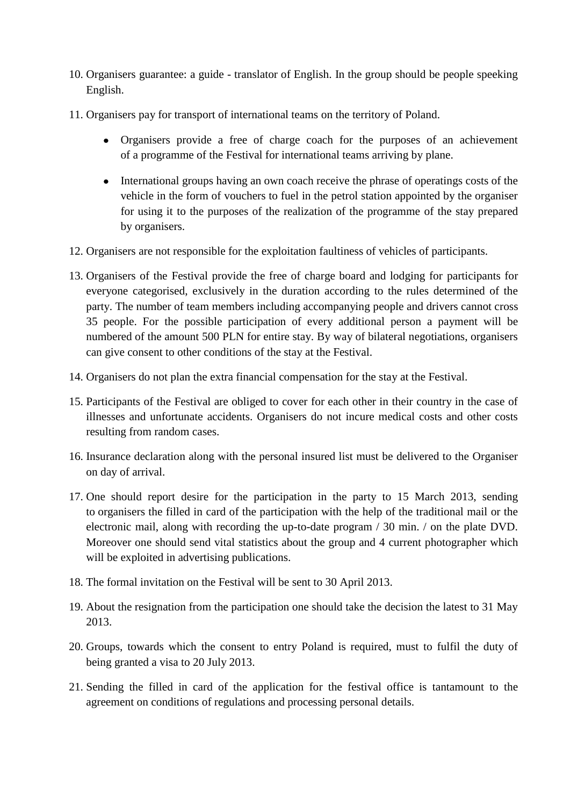- 10. Organisers guarantee: a guide translator of English. In the group should be people speeking English.
- 11. Organisers pay for transport of international teams on the territory of Poland.
	- Organisers provide a free of charge coach for the purposes of an achievement of a programme of the Festival for international teams arriving by plane.
	- International groups having an own coach receive the phrase of operatings costs of the vehicle in the form of vouchers to fuel in the petrol station appointed by the organiser for using it to the purposes of the realization of the programme of the stay prepared by organisers.
- 12. Organisers are not responsible for the exploitation faultiness of vehicles of participants.
- 13. Organisers of the Festival provide the free of charge board and lodging for participants for everyone categorised, exclusively in the duration according to the rules determined of the party. The number of team members including accompanying people and drivers cannot cross 35 people. For the possible participation of every additional person a payment will be numbered of the amount 500 PLN for entire stay. By way of bilateral negotiations, organisers can give consent to other conditions of the stay at the Festival.
- 14. Organisers do not plan the extra financial compensation for the stay at the Festival.
- 15. Participants of the Festival are obliged to cover for each other in their country in the case of illnesses and unfortunate accidents. Organisers do not incure medical costs and other costs resulting from random cases.
- 16. Insurance declaration along with the personal insured list must be delivered to the Organiser on day of arrival.
- 17. One should report desire for the participation in the party to 15 March 2013, sending to organisers the filled in card of the participation with the help of the traditional mail or the electronic mail, along with recording the up-to-date program / 30 min. / on the plate DVD. Moreover one should send vital statistics about the group and 4 current photographer which will be exploited in advertising publications.
- 18. The formal invitation on the Festival will be sent to 30 April 2013.
- 19. About the resignation from the participation one should take the decision the latest to 31 May 2013.
- 20. Groups, towards which the consent to entry Poland is required, must to fulfil the duty of being granted a visa to 20 July 2013.
- 21. Sending the filled in card of the application for the festival office is tantamount to the agreement on conditions of regulations and processing personal details.